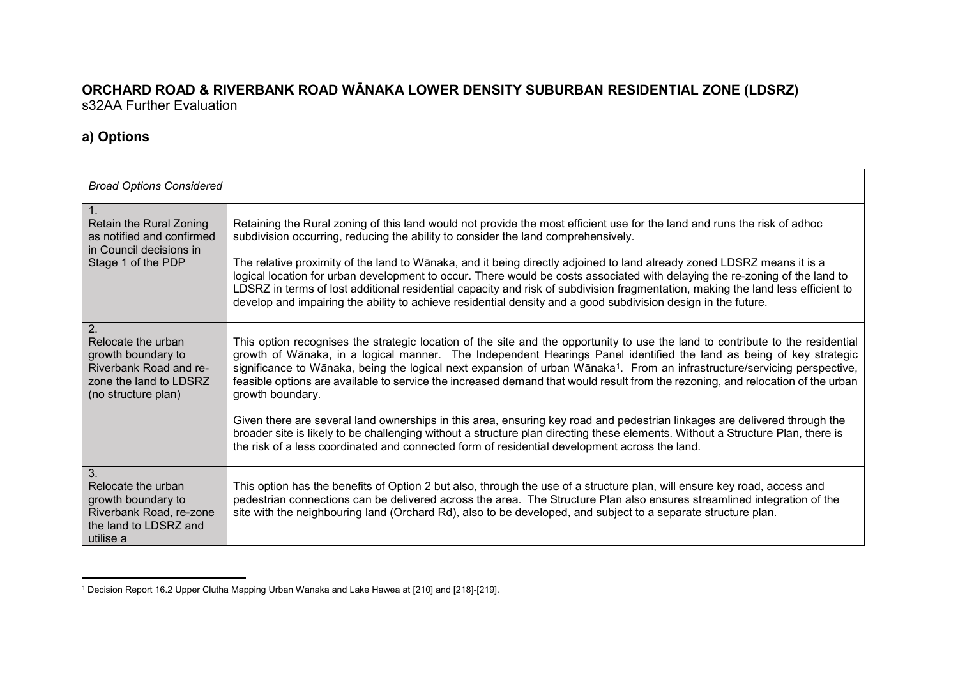#### <span id="page-0-0"></span>**ORCHARD ROAD & RIVERBANK ROAD WĀNAKA LOWER DENSITY SUBURBAN RESIDENTIAL ZONE (LDSRZ)**  s32AA Further Evaluation

#### **a) Options**

| <b>Broad Options Considered</b>                                                                                           |                                                                                                                                                                                                                                                                                                                                                                                                                                                                                                                                                                                                                                                                                                                                                                                                                      |
|---------------------------------------------------------------------------------------------------------------------------|----------------------------------------------------------------------------------------------------------------------------------------------------------------------------------------------------------------------------------------------------------------------------------------------------------------------------------------------------------------------------------------------------------------------------------------------------------------------------------------------------------------------------------------------------------------------------------------------------------------------------------------------------------------------------------------------------------------------------------------------------------------------------------------------------------------------|
| Retain the Rural Zoning<br>as notified and confirmed<br>in Council decisions in<br>Stage 1 of the PDP                     | Retaining the Rural zoning of this land would not provide the most efficient use for the land and runs the risk of adhoc<br>subdivision occurring, reducing the ability to consider the land comprehensively.<br>The relative proximity of the land to Wānaka, and it being directly adjoined to land already zoned LDSRZ means it is a<br>logical location for urban development to occur. There would be costs associated with delaying the re-zoning of the land to<br>LDSRZ in terms of lost additional residential capacity and risk of subdivision fragmentation, making the land less efficient to<br>develop and impairing the ability to achieve residential density and a good subdivision design in the future.                                                                                           |
| 2.<br>Relocate the urban<br>growth boundary to<br>Riverbank Road and re-<br>zone the land to LDSRZ<br>(no structure plan) | This option recognises the strategic location of the site and the opportunity to use the land to contribute to the residential<br>growth of Wānaka, in a logical manner. The Independent Hearings Panel identified the land as being of key strategic<br>significance to Wānaka, being the logical next expansion of urban Wānaka <sup>1</sup> . From an infrastructure/servicing perspective,<br>feasible options are available to service the increased demand that would result from the rezoning, and relocation of the urban<br>growth boundary.<br>Given there are several land ownerships in this area, ensuring key road and pedestrian linkages are delivered through the<br>broader site is likely to be challenging without a structure plan directing these elements. Without a Structure Plan, there is |
| 3.<br>Relocate the urban<br>growth boundary to<br>Riverbank Road, re-zone<br>the land to LDSRZ and<br>utilise a           | the risk of a less coordinated and connected form of residential development across the land.<br>This option has the benefits of Option 2 but also, through the use of a structure plan, will ensure key road, access and<br>pedestrian connections can be delivered across the area. The Structure Plan also ensures streamlined integration of the<br>site with the neighbouring land (Orchard Rd), also to be developed, and subject to a separate structure plan.                                                                                                                                                                                                                                                                                                                                                |

<sup>1</sup> <sup>1</sup> Decision Report 16.2 Upper Clutha Mapping Urban Wanaka and Lake Hawea at [210] and [218]-[219].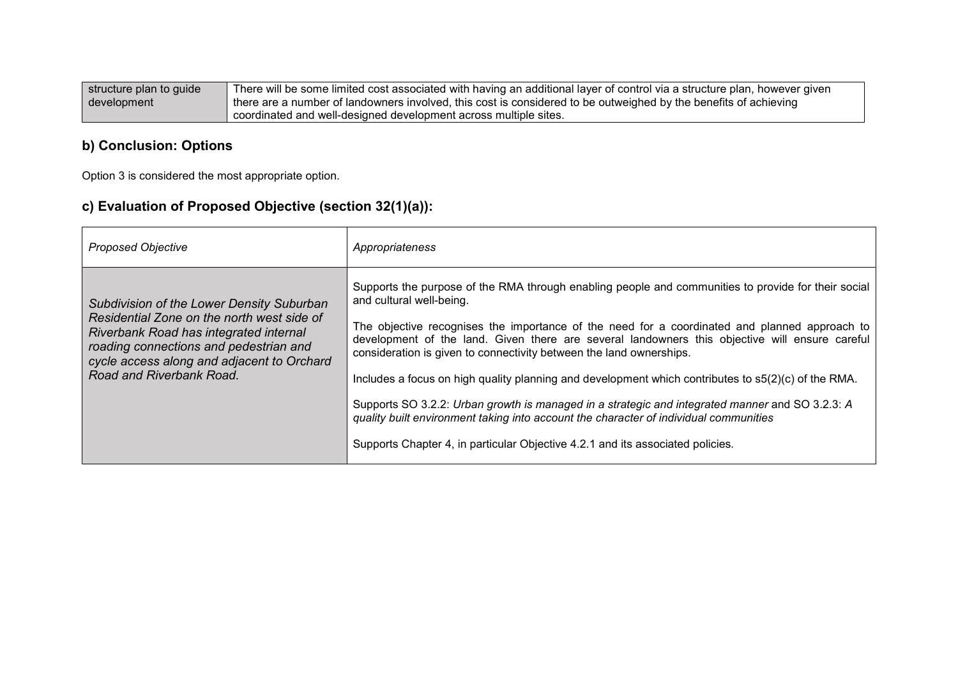| $\mid$ structure plan to guide $\mid$ | There will be some limited cost associated with having an additional layer of control via a structure plan, however given |
|---------------------------------------|---------------------------------------------------------------------------------------------------------------------------|
| development                           | I there are a number of landowners involved, this cost is considered to be outweighed by the benefits of achieving        |
|                                       | coordinated and well-designed development across multiple sites.                                                          |

#### **b) Conclusion: Options**

Option 3 is considered the most appropriate option.

## **c) Evaluation of Proposed Objective (section 32(1)(a)):**

| <b>Proposed Objective</b>                                                                                                                                                                                                                             | Appropriateness                                                                                                                                                                                                                                                                                                                                                                                                                                                                                                                                                                                                                                                                                                                                                                                |
|-------------------------------------------------------------------------------------------------------------------------------------------------------------------------------------------------------------------------------------------------------|------------------------------------------------------------------------------------------------------------------------------------------------------------------------------------------------------------------------------------------------------------------------------------------------------------------------------------------------------------------------------------------------------------------------------------------------------------------------------------------------------------------------------------------------------------------------------------------------------------------------------------------------------------------------------------------------------------------------------------------------------------------------------------------------|
| Subdivision of the Lower Density Suburban<br>Residential Zone on the north west side of<br>Riverbank Road has integrated internal<br>roading connections and pedestrian and<br>cycle access along and adjacent to Orchard<br>Road and Riverbank Road. | Supports the purpose of the RMA through enabling people and communities to provide for their social<br>and cultural well-being.<br>The objective recognises the importance of the need for a coordinated and planned approach to<br>development of the land. Given there are several landowners this objective will ensure careful<br>consideration is given to connectivity between the land ownerships.<br>Includes a focus on high quality planning and development which contributes to s5(2)(c) of the RMA.<br>Supports SO 3.2.2: Urban growth is managed in a strategic and integrated manner and SO 3.2.3: A<br>quality built environment taking into account the character of individual communities<br>Supports Chapter 4, in particular Objective 4.2.1 and its associated policies. |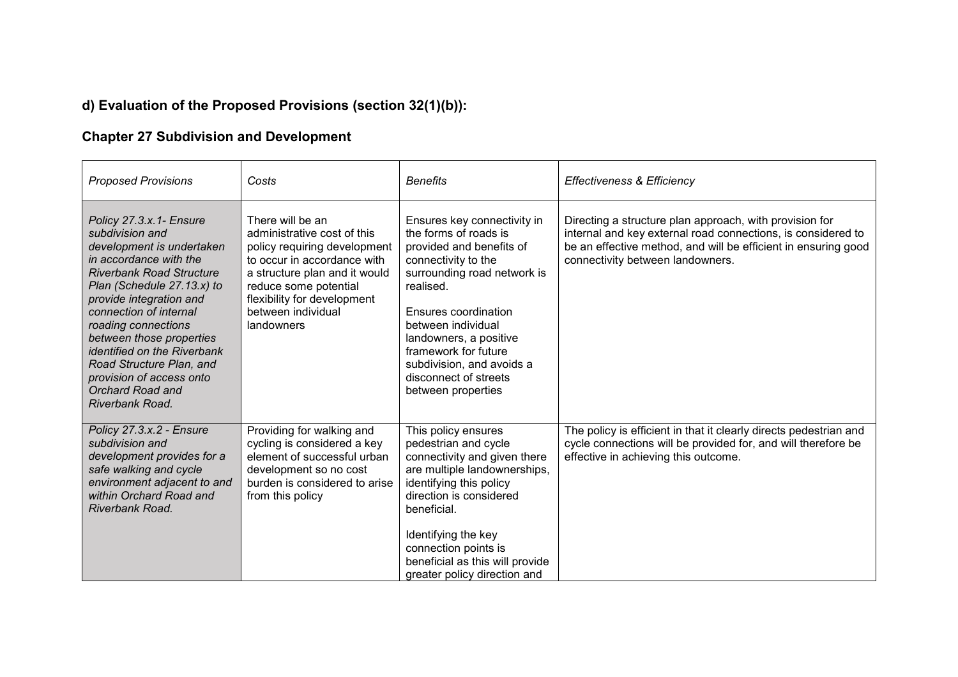## **d) Evaluation of the Proposed Provisions (section 32(1)(b)):**

## **Chapter 27 Subdivision and Development**

| <b>Proposed Provisions</b>                                                                                                                                                                                                                                                                                                                                                                                      | Costs                                                                                                                                                                                                                                       | <b>Benefits</b>                                                                                                                                                                                                                                                                                                                 | Effectiveness & Efficiency                                                                                                                                                                                                    |
|-----------------------------------------------------------------------------------------------------------------------------------------------------------------------------------------------------------------------------------------------------------------------------------------------------------------------------------------------------------------------------------------------------------------|---------------------------------------------------------------------------------------------------------------------------------------------------------------------------------------------------------------------------------------------|---------------------------------------------------------------------------------------------------------------------------------------------------------------------------------------------------------------------------------------------------------------------------------------------------------------------------------|-------------------------------------------------------------------------------------------------------------------------------------------------------------------------------------------------------------------------------|
| Policy 27.3.x.1- Ensure<br>subdivision and<br>development is undertaken<br>in accordance with the<br><b>Riverbank Road Structure</b><br>Plan (Schedule 27.13.x) to<br>provide integration and<br>connection of internal<br>roading connections<br>between those properties<br><i>identified on the Riverbank</i><br>Road Structure Plan, and<br>provision of access onto<br>Orchard Road and<br>Riverbank Road. | There will be an<br>administrative cost of this<br>policy requiring development<br>to occur in accordance with<br>a structure plan and it would<br>reduce some potential<br>flexibility for development<br>between individual<br>landowners | Ensures key connectivity in<br>the forms of roads is<br>provided and benefits of<br>connectivity to the<br>surrounding road network is<br>realised.<br>Ensures coordination<br>between individual<br>landowners, a positive<br>framework for future<br>subdivision, and avoids a<br>disconnect of streets<br>between properties | Directing a structure plan approach, with provision for<br>internal and key external road connections, is considered to<br>be an effective method, and will be efficient in ensuring good<br>connectivity between landowners. |
| Policy 27.3.x.2 - Ensure<br>subdivision and<br>development provides for a<br>safe walking and cycle<br>environment adjacent to and<br>within Orchard Road and<br>Riverbank Road.                                                                                                                                                                                                                                | Providing for walking and<br>cycling is considered a key<br>element of successful urban<br>development so no cost<br>burden is considered to arise<br>from this policy                                                                      | This policy ensures<br>pedestrian and cycle<br>connectivity and given there<br>are multiple landownerships,<br>identifying this policy<br>direction is considered<br>beneficial.<br>Identifying the key<br>connection points is<br>beneficial as this will provide<br>greater policy direction and                              | The policy is efficient in that it clearly directs pedestrian and<br>cycle connections will be provided for, and will therefore be<br>effective in achieving this outcome.                                                    |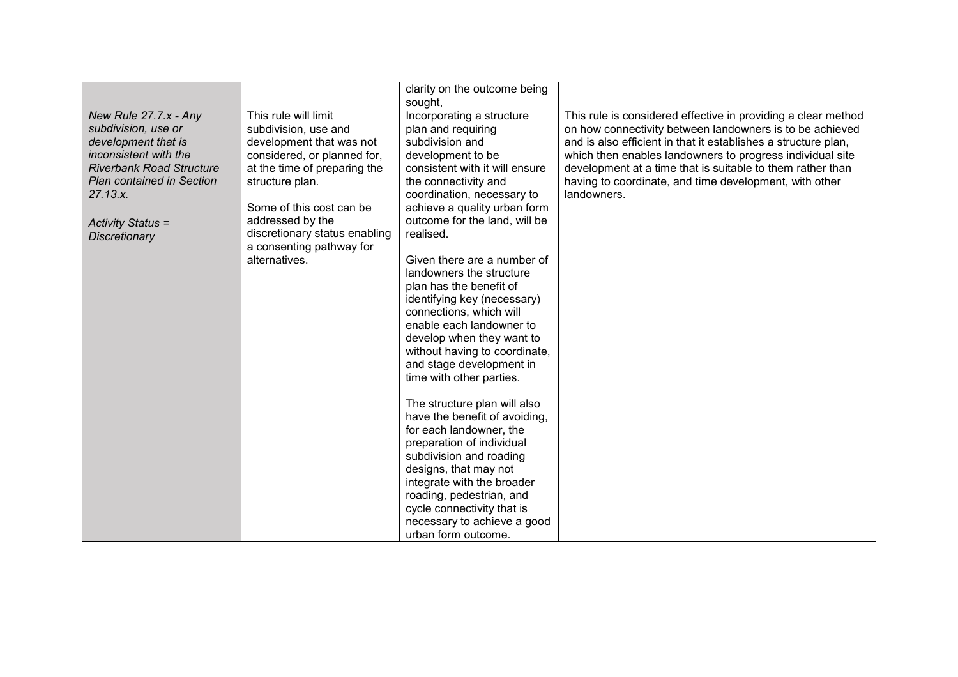| clarity on the outcome being                                                                                                                                                                                                                                                                                                                                                                                                                                                                                                                                                                                                                                                                                                                                                                                                                                                                                                                                                                                                                                                                                                                                                                                                                                                                                                                                                                                                  |                                                                                                                                                                                                                                                                                                                                                                                                 |
|-------------------------------------------------------------------------------------------------------------------------------------------------------------------------------------------------------------------------------------------------------------------------------------------------------------------------------------------------------------------------------------------------------------------------------------------------------------------------------------------------------------------------------------------------------------------------------------------------------------------------------------------------------------------------------------------------------------------------------------------------------------------------------------------------------------------------------------------------------------------------------------------------------------------------------------------------------------------------------------------------------------------------------------------------------------------------------------------------------------------------------------------------------------------------------------------------------------------------------------------------------------------------------------------------------------------------------------------------------------------------------------------------------------------------------|-------------------------------------------------------------------------------------------------------------------------------------------------------------------------------------------------------------------------------------------------------------------------------------------------------------------------------------------------------------------------------------------------|
| sought,                                                                                                                                                                                                                                                                                                                                                                                                                                                                                                                                                                                                                                                                                                                                                                                                                                                                                                                                                                                                                                                                                                                                                                                                                                                                                                                                                                                                                       |                                                                                                                                                                                                                                                                                                                                                                                                 |
| This rule will limit<br>Incorporating a structure<br>New Rule 27.7.x - Any<br>plan and requiring<br>subdivision, use or<br>subdivision, use and<br>development that is<br>development that was not<br>subdivision and<br>inconsistent with the<br>considered, or planned for,<br>development to be<br><b>Riverbank Road Structure</b><br>at the time of preparing the<br>consistent with it will ensure<br><b>Plan contained in Section</b><br>structure plan.<br>the connectivity and<br>27.13.x.<br>coordination, necessary to<br>Some of this cost can be<br>achieve a quality urban form<br>outcome for the land, will be<br>addressed by the<br><b>Activity Status =</b><br>discretionary status enabling<br>realised.<br><b>Discretionary</b><br>a consenting pathway for<br>alternatives.<br>Given there are a number of<br>landowners the structure<br>plan has the benefit of<br>identifying key (necessary)<br>connections, which will<br>enable each landowner to<br>develop when they want to<br>without having to coordinate,<br>and stage development in<br>time with other parties.<br>The structure plan will also<br>have the benefit of avoiding,<br>for each landowner, the<br>preparation of individual<br>subdivision and roading<br>designs, that may not<br>integrate with the broader<br>roading, pedestrian, and<br>cycle connectivity that is<br>necessary to achieve a good<br>urban form outcome. | This rule is considered effective in providing a clear method<br>on how connectivity between landowners is to be achieved<br>and is also efficient in that it establishes a structure plan,<br>which then enables landowners to progress individual site<br>development at a time that is suitable to them rather than<br>having to coordinate, and time development, with other<br>landowners. |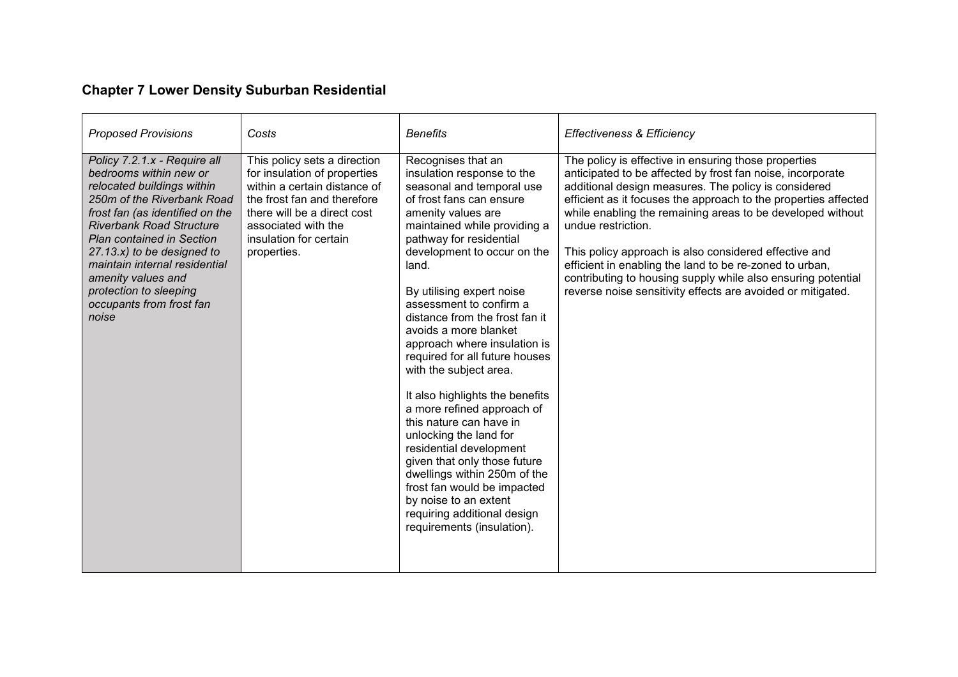# **Chapter 7 Lower Density Suburban Residential**

| <b>Proposed Provisions</b>                                                                                                                                                                                                                                                                                                                                                        | Costs                                                                                                                                                                                                                      | <b>Benefits</b>                                                                                                                                                                                                                                                                                                                                                                                                                                                                                                                                                                                                                                                                                                                                                                         | <b>Effectiveness &amp; Efficiency</b>                                                                                                                                                                                                                                                                                                                                                                                                                                                                                                                                                |
|-----------------------------------------------------------------------------------------------------------------------------------------------------------------------------------------------------------------------------------------------------------------------------------------------------------------------------------------------------------------------------------|----------------------------------------------------------------------------------------------------------------------------------------------------------------------------------------------------------------------------|-----------------------------------------------------------------------------------------------------------------------------------------------------------------------------------------------------------------------------------------------------------------------------------------------------------------------------------------------------------------------------------------------------------------------------------------------------------------------------------------------------------------------------------------------------------------------------------------------------------------------------------------------------------------------------------------------------------------------------------------------------------------------------------------|--------------------------------------------------------------------------------------------------------------------------------------------------------------------------------------------------------------------------------------------------------------------------------------------------------------------------------------------------------------------------------------------------------------------------------------------------------------------------------------------------------------------------------------------------------------------------------------|
| Policy 7.2.1.x - Require all<br>bedrooms within new or<br>relocated buildings within<br>250m of the Riverbank Road<br>frost fan (as identified on the<br><b>Riverbank Road Structure</b><br><b>Plan contained in Section</b><br>$27.13.x$ to be designed to<br>maintain internal residential<br>amenity values and<br>protection to sleeping<br>occupants from frost fan<br>noise | This policy sets a direction<br>for insulation of properties<br>within a certain distance of<br>the frost fan and therefore<br>there will be a direct cost<br>associated with the<br>insulation for certain<br>properties. | Recognises that an<br>insulation response to the<br>seasonal and temporal use<br>of frost fans can ensure<br>amenity values are<br>maintained while providing a<br>pathway for residential<br>development to occur on the<br>land.<br>By utilising expert noise<br>assessment to confirm a<br>distance from the frost fan it<br>avoids a more blanket<br>approach where insulation is<br>required for all future houses<br>with the subject area.<br>It also highlights the benefits<br>a more refined approach of<br>this nature can have in<br>unlocking the land for<br>residential development<br>given that only those future<br>dwellings within 250m of the<br>frost fan would be impacted<br>by noise to an extent<br>requiring additional design<br>requirements (insulation). | The policy is effective in ensuring those properties<br>anticipated to be affected by frost fan noise, incorporate<br>additional design measures. The policy is considered<br>efficient as it focuses the approach to the properties affected<br>while enabling the remaining areas to be developed without<br>undue restriction.<br>This policy approach is also considered effective and<br>efficient in enabling the land to be re-zoned to urban,<br>contributing to housing supply while also ensuring potential<br>reverse noise sensitivity effects are avoided or mitigated. |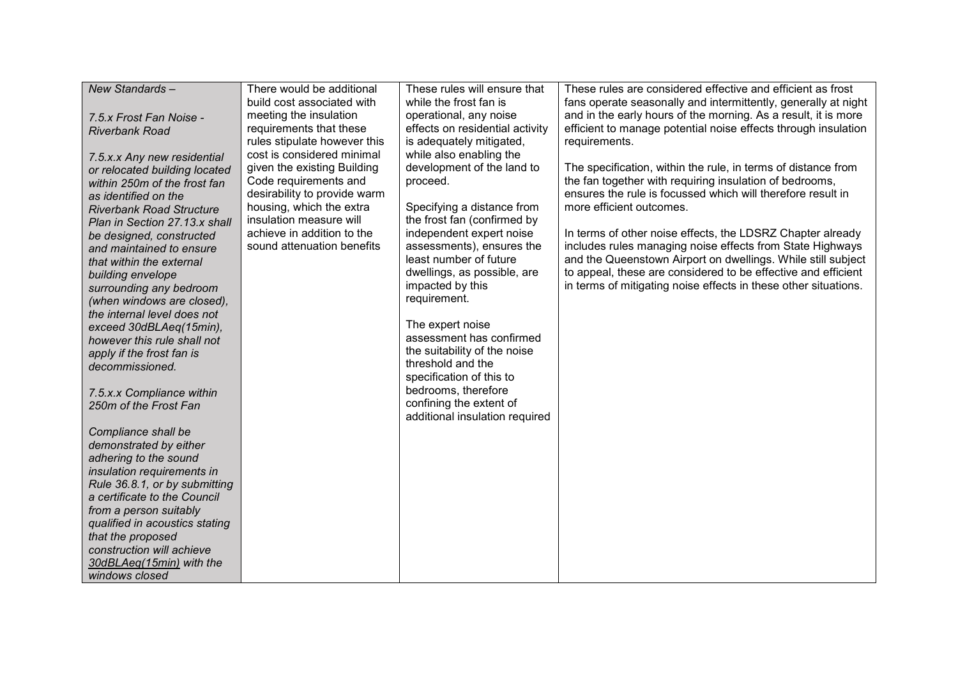| New Standards-                  | There would be additional    | These rules will ensure that    | These rules are considered effective and efficient as frost     |
|---------------------------------|------------------------------|---------------------------------|-----------------------------------------------------------------|
|                                 | build cost associated with   | while the frost fan is          | fans operate seasonally and intermittently, generally at night  |
| 7.5.x Frost Fan Noise -         | meeting the insulation       | operational, any noise          | and in the early hours of the morning. As a result, it is more  |
| <b>Riverbank Road</b>           | requirements that these      | effects on residential activity | efficient to manage potential noise effects through insulation  |
|                                 | rules stipulate however this | is adequately mitigated,        | requirements.                                                   |
| 7.5.x.x Any new residential     | cost is considered minimal   | while also enabling the         |                                                                 |
| or relocated building located   | given the existing Building  | development of the land to      | The specification, within the rule, in terms of distance from   |
| within 250m of the frost fan    | Code requirements and        | proceed.                        | the fan together with requiring insulation of bedrooms,         |
| as identified on the            | desirability to provide warm |                                 | ensures the rule is focussed which will therefore result in     |
| <b>Riverbank Road Structure</b> | housing, which the extra     | Specifying a distance from      | more efficient outcomes.                                        |
| Plan in Section 27.13.x shall   | insulation measure will      | the frost fan (confirmed by     |                                                                 |
| be designed, constructed        | achieve in addition to the   | independent expert noise        | In terms of other noise effects, the LDSRZ Chapter already      |
| and maintained to ensure        | sound attenuation benefits   | assessments), ensures the       | includes rules managing noise effects from State Highways       |
| that within the external        |                              | least number of future          | and the Queenstown Airport on dwellings. While still subject    |
| building envelope               |                              | dwellings, as possible, are     | to appeal, these are considered to be effective and efficient   |
| surrounding any bedroom         |                              | impacted by this                | in terms of mitigating noise effects in these other situations. |
| (when windows are closed),      |                              | requirement.                    |                                                                 |
| the internal level does not     |                              |                                 |                                                                 |
| exceed 30dBLAeq(15min),         |                              | The expert noise                |                                                                 |
| however this rule shall not     |                              | assessment has confirmed        |                                                                 |
| apply if the frost fan is       |                              | the suitability of the noise    |                                                                 |
| decommissioned.                 |                              | threshold and the               |                                                                 |
|                                 |                              | specification of this to        |                                                                 |
| 7.5.x.x Compliance within       |                              | bedrooms, therefore             |                                                                 |
| 250m of the Frost Fan           |                              | confining the extent of         |                                                                 |
|                                 |                              | additional insulation required  |                                                                 |
| Compliance shall be             |                              |                                 |                                                                 |
| demonstrated by either          |                              |                                 |                                                                 |
| adhering to the sound           |                              |                                 |                                                                 |
| insulation requirements in      |                              |                                 |                                                                 |
| Rule 36.8.1, or by submitting   |                              |                                 |                                                                 |
| a certificate to the Council    |                              |                                 |                                                                 |
| from a person suitably          |                              |                                 |                                                                 |
| qualified in acoustics stating  |                              |                                 |                                                                 |
| that the proposed               |                              |                                 |                                                                 |
| construction will achieve       |                              |                                 |                                                                 |
| 30dBLAeq(15min) with the        |                              |                                 |                                                                 |
| windows closed                  |                              |                                 |                                                                 |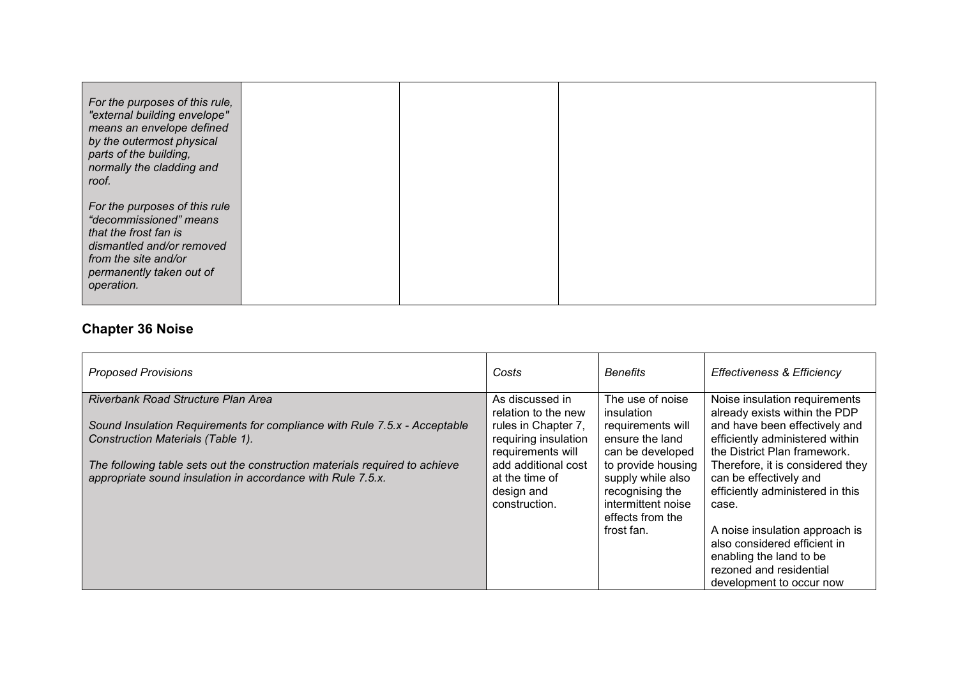| For the purposes of this rule,<br>"external building envelope"<br>means an envelope defined<br>by the outermost physical<br>parts of the building,<br>normally the cladding and<br>roof. |  |  |
|------------------------------------------------------------------------------------------------------------------------------------------------------------------------------------------|--|--|
| For the purposes of this rule<br>"decommissioned" means<br>that the frost fan is<br>dismantled and/or removed<br>from the site and/or<br>permanently taken out of<br>operation.          |  |  |

#### **Chapter 36 Noise**

| <b>Proposed Provisions</b>                                                                                                                 | Costs                                                                | <b>Benefits</b>                                                                                      | <b>Effectiveness &amp; Efficiency</b>                                                                                                            |
|--------------------------------------------------------------------------------------------------------------------------------------------|----------------------------------------------------------------------|------------------------------------------------------------------------------------------------------|--------------------------------------------------------------------------------------------------------------------------------------------------|
| Riverbank Road Structure Plan Area<br>Sound Insulation Requirements for compliance with Rule 7.5.x - Acceptable                            | As discussed in<br>relation to the new<br>rules in Chapter 7,        | The use of noise<br>insulation<br>requirements will                                                  | Noise insulation requirements<br>already exists within the PDP<br>and have been effectively and                                                  |
| Construction Materials (Table 1).                                                                                                          | requiring insulation<br>requirements will                            | ensure the land<br>can be developed                                                                  | efficiently administered within<br>the District Plan framework.                                                                                  |
| The following table sets out the construction materials required to achieve<br>appropriate sound insulation in accordance with Rule 7.5.x. | add additional cost<br>at the time of<br>design and<br>construction. | to provide housing<br>supply while also<br>recognising the<br>intermittent noise<br>effects from the | Therefore, it is considered they<br>can be effectively and<br>efficiently administered in this<br>case.                                          |
|                                                                                                                                            |                                                                      | frost fan.                                                                                           | A noise insulation approach is<br>also considered efficient in<br>enabling the land to be<br>rezoned and residential<br>development to occur now |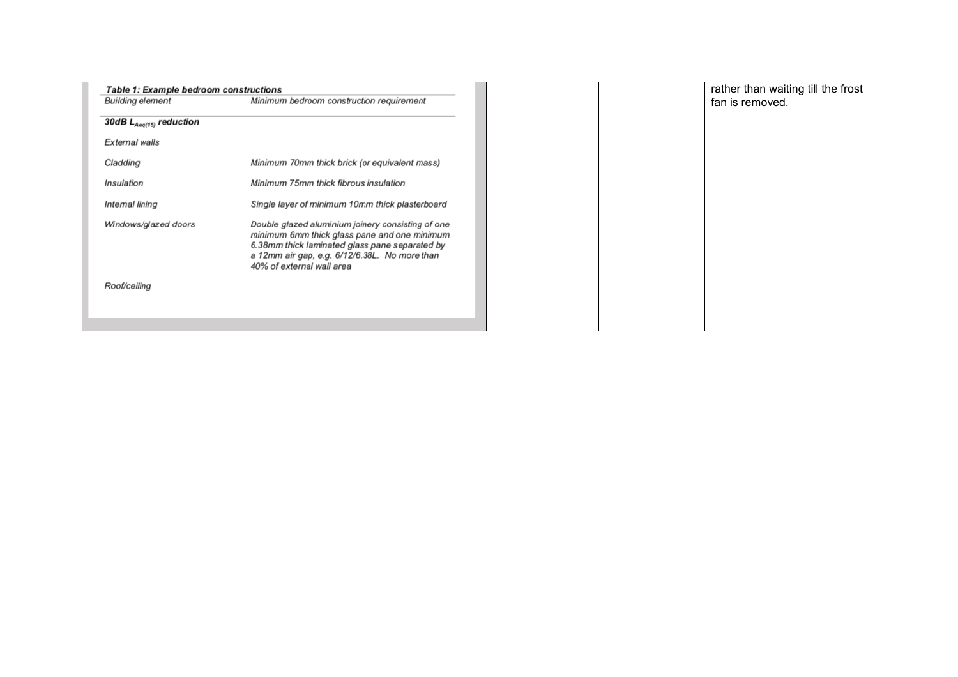| <b>Table 1: Example bedroom constructions</b> |                                                                                                                                                                                                                                   |
|-----------------------------------------------|-----------------------------------------------------------------------------------------------------------------------------------------------------------------------------------------------------------------------------------|
| <b>Building element</b>                       | Minimum bedroom construction requirement                                                                                                                                                                                          |
| 30dB $L_{Aeq(15)}$ reduction                  |                                                                                                                                                                                                                                   |
| External walls                                |                                                                                                                                                                                                                                   |
| Cladding                                      | Minimum 70mm thick brick (or equivalent mass)                                                                                                                                                                                     |
| Insulation                                    | Minimum 75mm thick fibrous insulation                                                                                                                                                                                             |
| Internal lining                               | Single layer of minimum 10mm thick plasterboard                                                                                                                                                                                   |
| Windows/glazed doors                          | Double glazed aluminium joinery consisting of one<br>minimum 6mm thick glass pane and one minimum<br>6.38mm thick laminated glass pane separated by<br>a 12mm air gap, e.g. 6/12/6.38L. No more than<br>40% of external wall area |
| Roof/ceiling                                  |                                                                                                                                                                                                                                   |
|                                               |                                                                                                                                                                                                                                   |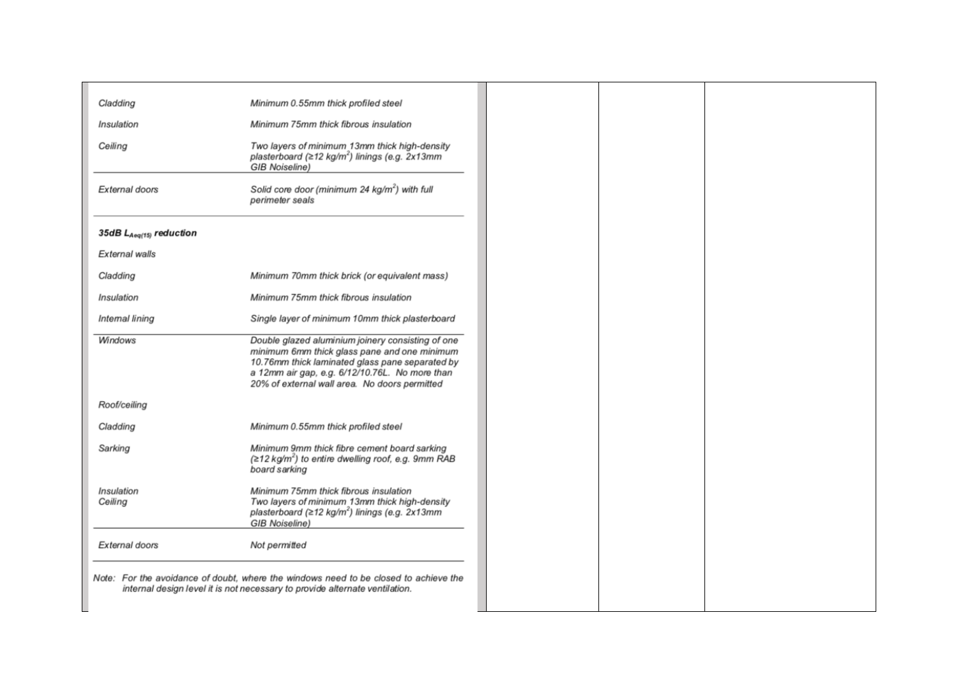| Cladding                     | Minimum 0.55mm thick profiled steel                                                                                                                                                                                                                     |
|------------------------------|---------------------------------------------------------------------------------------------------------------------------------------------------------------------------------------------------------------------------------------------------------|
| Insulation                   | Minimum 75mm thick fibrous insulation                                                                                                                                                                                                                   |
| Ceiling                      | Two layers of minimum 13mm thick high-density<br>plasterboard ( $\geq$ 12 kg/m <sup>2</sup> ) linings (e.g. 2x13mm<br><b>GIB Noiseline)</b>                                                                                                             |
| External doors               | Solid core door (minimum 24 $kg/m^2$ ) with full<br>perimeter seals                                                                                                                                                                                     |
| 35dB $L_{Aeq(15)}$ reduction |                                                                                                                                                                                                                                                         |
| External walls               |                                                                                                                                                                                                                                                         |
| Cladding                     | Minimum 70mm thick brick (or equivalent mass)                                                                                                                                                                                                           |
| Insulation                   | Minimum 75mm thick fibrous insulation                                                                                                                                                                                                                   |
| Intemal lining               | Single layer of minimum 10mm thick plasterboard                                                                                                                                                                                                         |
| Windows                      | Double glazed aluminium joinery consisting of one<br>minimum 6mm thick glass pane and one minimum<br>10.76mm thick laminated glass pane separated by<br>a 12mm air gap, e.g. 6/12/10.76L. No more than<br>20% of external wall area. No doors permitted |
| Roof/ceiling                 |                                                                                                                                                                                                                                                         |
| Cladding                     | Minimum 0.55mm thick profiled steel                                                                                                                                                                                                                     |
| Sarking                      | Minimum 9mm thick fibre cement board sarking<br>$(212 \text{ kg/m}^2)$ to entire dwelling roof, e.g. 9mm RAB<br>board sarking                                                                                                                           |
| Insulation<br>Ceiling        | Minimum 75mm thick fibrous insulation<br>Two layers of minimum 13mm thick high-density<br>plasterboard (≥12 kg/m <sup>2</sup> ) linings (e.g. 2x13mm<br><b>GIB Noiseline)</b>                                                                           |
| External doors               | Not permitted                                                                                                                                                                                                                                           |
|                              | Note: For the avoidance of doubt, where the windows need to be closed to achieve the<br>internal design level it is not necessary to provide alternate ventilation.                                                                                     |